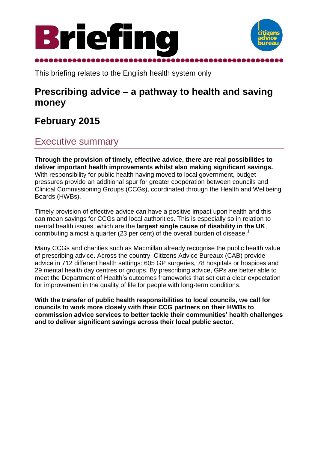



This briefing relates to the English health system only

## **Prescribing advice – a pathway to health and saving money**

# **February 2015**

## Executive summary

**Through the provision of timely, effective advice, there are real possibilities to deliver important health improvements whilst also making significant savings.** With responsibility for public health having moved to local government, budget pressures provide an additional spur for greater cooperation between councils and Clinical Commissioning Groups (CCGs), coordinated through the Health and Wellbeing Boards (HWBs).

Timely provision of effective advice can have a positive impact upon health and this can mean savings for CCGs and local authorities. This is especially so in relation to mental health issues, which are the **largest single cause of disability in the UK**, contributing almost a quarter (23 per cent) of the overall burden of disease.<sup>1</sup>

Many CCGs and charities such as Macmillan already recognise the public health value of prescribing advice. Across the country, Citizens Advice Bureaux (CAB) provide advice in 712 different health settings: 605 GP surgeries, 78 hospitals or hospices and 29 mental health day centres or groups. By prescribing advice, GPs are better able to meet the Department of Health's outcomes frameworks that set out a clear expectation for improvement in the quality of life for people with long-term conditions.

**With the transfer of public health responsibilities to local councils, we call for councils to work more closely with their CCG partners on their HWBs to commission advice services to better tackle their communities' health challenges and to deliver significant savings across their local public sector.**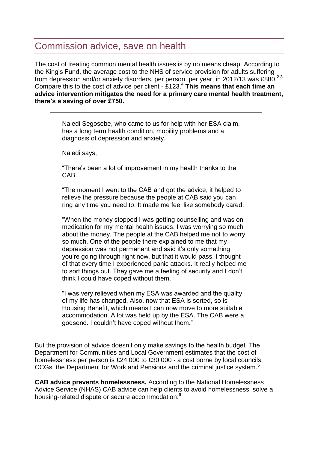### Commission advice, save on health

The cost of treating common mental health issues is by no means cheap. According to the King's Fund, the average cost to the NHS of service provision for adults suffering from depression and/or anxiety disorders, per person, per year, in 2012/13 was £880.<sup>2,3</sup> Compare this to the cost of advice per client - £123.<sup>4</sup> **This means that each time an advice intervention mitigates the need for a primary care mental health treatment, there's a saving of over £750.**

Naledi Segosebe, who came to us for help with her ESA claim, has a long term health condition, mobility problems and a diagnosis of depression and anxiety.

Naledi says,

"There's been a lot of improvement in my health thanks to the CAB.

"The moment I went to the CAB and got the advice, it helped to relieve the pressure because the people at CAB said you can ring any time you need to. It made me feel like somebody cared.

"When the money stopped I was getting counselling and was on medication for my mental health issues. I was worrying so much about the money. The people at the CAB helped me not to worry so much. One of the people there explained to me that my depression was not permanent and said it's only something you're going through right now, but that it would pass. I thought of that every time I experienced panic attacks. It really helped me to sort things out. They gave me a feeling of security and I don't think I could have coped without them.

"I was very relieved when my ESA was awarded and the quality of my life has changed. Also, now that ESA is sorted, so is Housing Benefit, which means I can now move to more suitable accommodation. A lot was held up by the ESA. The CAB were a godsend. I couldn't have coped without them."

But the provision of advice doesn't only make savings to the health budget. The Department for Communities and Local Government estimates that the cost of homelessness per person is £24,000 to £30,000 - a cost borne by local councils, CCGs, the Department for Work and Pensions and the criminal justice system.<sup>5</sup>

**CAB advice prevents homelessness.** According to the National Homelessness Advice Service (NHAS) CAB advice can help clients to avoid homelessness, solve a housing-related dispute or secure accommodation:<sup>6</sup>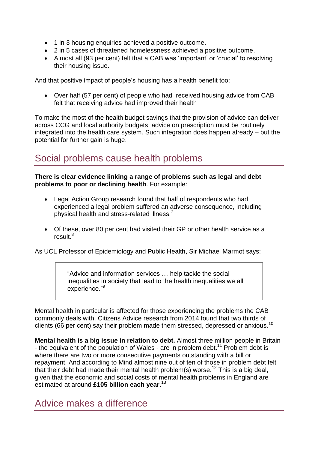- 1 in 3 housing enquiries achieved a positive outcome.
- 2 in 5 cases of threatened homelessness achieved a positive outcome.
- Almost all (93 per cent) felt that a CAB was 'important' or 'crucial' to resolving their housing issue.

And that positive impact of people's housing has a health benefit too:

 Over half (57 per cent) of people who had received housing advice from CAB felt that receiving advice had improved their health

To make the most of the health budget savings that the provision of advice can deliver across CCG and local authority budgets, advice on prescription must be routinely integrated into the health care system. Such integration does happen already – but the potential for further gain is huge.

### Social problems cause health problems

#### **There is clear evidence linking a range of problems such as legal and debt problems to poor or declining health**. For example:

- Legal Action Group research found that half of respondents who had experienced a legal problem suffered an adverse consequence, including physical health and stress-related illness.<sup>7</sup>
- Of these, over 80 per cent had visited their GP or other health service as a result.<sup>8</sup>

As UCL Professor of Epidemiology and Public Health, Sir Michael Marmot says:

"Advice and information services … help tackle the social inequalities in society that lead to the health inequalities we all experience."<sup>9</sup>

Mental health in particular is affected for those experiencing the problems the CAB commonly deals with. Citizens Advice research from 2014 found that two thirds of clients (66 per cent) say their problem made them stressed, depressed or anxious.<sup>10</sup>

**Mental health is a big issue in relation to debt.** Almost three million people in Britain - the equivalent of the population of Wales - are in problem debt.<sup>11</sup> Problem debt is where there are two or more consecutive payments outstanding with a bill or repayment. And according to Mind almost nine out of ten of those in problem debt felt that their debt had made their mental health problem(s) worse.<sup>12</sup> This is a big deal, given that the economic and social costs of mental health problems in England are estimated at around **£105 billion each year**. 13

#### Advice makes a difference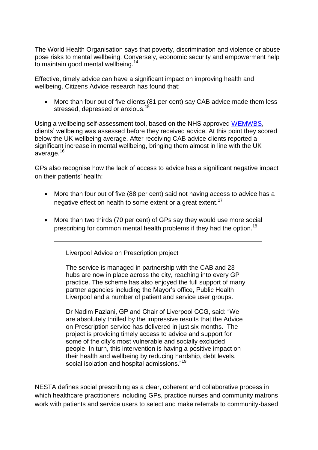The World Health Organisation says that poverty, discrimination and violence or abuse pose risks to mental wellbeing. Conversely, economic security and empowerment help to maintain good mental wellbeing.<sup>14</sup>

Effective, timely advice can have a significant impact on improving health and wellbeing. Citizens Advice research has found that:

• More than four out of five clients (81 per cent) say CAB advice made them less stressed, depressed or anxious.<sup>15</sup>

Using a wellbeing self-assessment tool, based on the NHS approved [WEMWBS,](http://www2.warwick.ac.uk/fac/med/research/platform/wemwbs/) clients' wellbeing was assessed before they received advice. At this point they scored below the UK wellbeing average. After receiving CAB advice clients reported a significant increase in mental wellbeing, bringing them almost in line with the UK average.<sup>16</sup>

GPs also recognise how the lack of access to advice has a significant negative impact on their patients' health:

- More than four out of five (88 per cent) said not having access to advice has a negative effect on health to some extent or a great extent.<sup>17</sup>
- More than two thirds (70 per cent) of GPs say they would use more social prescribing for common mental health problems if they had the option.<sup>18</sup>

Liverpool Advice on Prescription project

The service is managed in partnership with the CAB and 23 hubs are now in place across the city, reaching into every GP practice. The scheme has also enjoyed the full support of many partner agencies including the Mayor's office, Public Health Liverpool and a number of patient and service user groups.

Dr Nadim Fazlani, GP and Chair of Liverpool CCG, said: "We are absolutely thrilled by the impressive results that the Advice on Prescription service has delivered in just six months. The project is providing timely access to advice and support for some of the city's most vulnerable and socially excluded people. In turn, this intervention is having a positive impact on their health and wellbeing by reducing hardship, debt levels, social isolation and hospital admissions."<sup>19</sup>

NESTA defines social prescribing as a clear, coherent and collaborative process in which healthcare practitioners including GPs, practice nurses and community matrons work with patients and service users to select and make referrals to community-based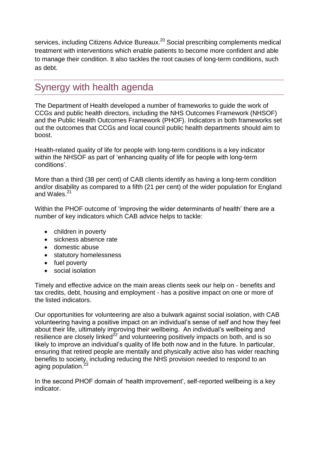services, including Citizens Advice Bureaux.<sup>20</sup> Social prescribing complements medical treatment with interventions which enable patients to become more confident and able to manage their condition. It also tackles the root causes of long-term conditions, such as debt.

## Synergy with health agenda

The Department of Health developed a number of frameworks to guide the work of CCGs and public health directors, including the NHS Outcomes Framework (NHSOF) and the Public Health Outcomes Framework (PHOF). Indicators in both frameworks set out the outcomes that CCGs and local council public health departments should aim to boost.

Health-related quality of life for people with long-term conditions is a key indicator within the NHSOF as part of 'enhancing quality of life for people with long-term conditions'.

More than a third (38 per cent) of CAB clients identify as having a long-term condition and/or disability as compared to a fifth (21 per cent) of the wider population for England and Wales.<sup>21</sup>

Within the PHOF outcome of 'improving the wider determinants of health' there are a number of key indicators which CAB advice helps to tackle:

- children in poverty
- sickness absence rate
- domestic abuse
- statutory homelessness
- fuel poverty
- social isolation

Timely and effective advice on the main areas clients seek our help on - benefits and tax credits, debt, housing and employment - has a positive impact on one or more of the listed indicators.

Our opportunities for volunteering are also a bulwark against social isolation, with CAB volunteering having a positive impact on an individual's sense of self and how they feel about their life, ultimately improving their wellbeing. An individual's wellbeing and resilience are closely linked<sup>22</sup> and volunteering positively impacts on both, and is so likely to improve an individual's quality of life both now and in the future. In particular, ensuring that retired people are mentally and physically active also has wider reaching benefits to society, including reducing the NHS provision needed to respond to an aging population.<sup>23</sup>

In the second PHOF domain of 'health improvement', self-reported wellbeing is a key indicator.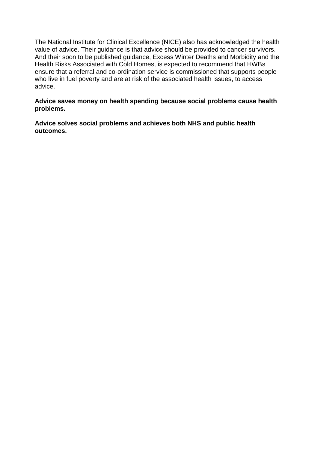The National Institute for Clinical Excellence (NICE) also has acknowledged the health value of advice. Their guidance is that advice should be provided to cancer survivors. And their soon to be published guidance, Excess Winter Deaths and Morbidity and the Health Risks Associated with Cold Homes, is expected to recommend that HWBs ensure that a referral and co-ordination service is commissioned that supports people who live in fuel poverty and are at risk of the associated health issues, to access advice.

#### **Advice saves money on health spending because social problems cause health problems.**

**Advice solves social problems and achieves both NHS and public health outcomes.**